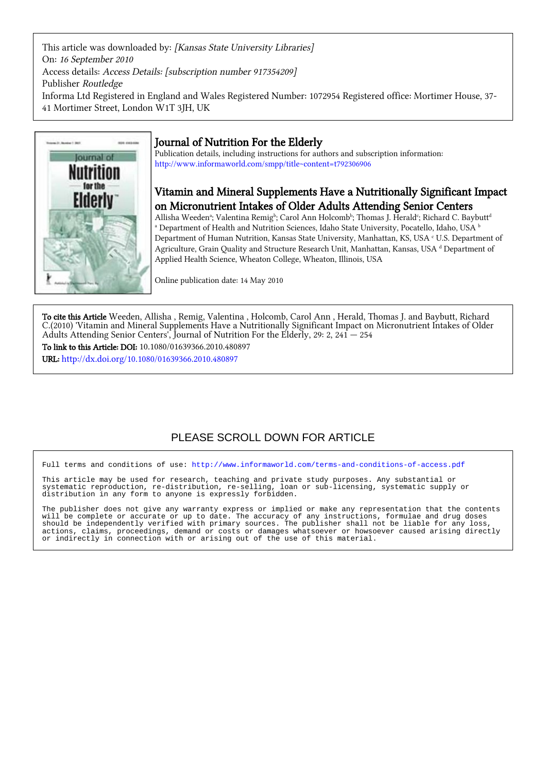This article was downloaded by: [Kansas State University Libraries] On: 16 September 2010 Access details: Access Details: [subscription number 917354209] Publisher Routledge Informa Ltd Registered in England and Wales Registered Number: 1072954 Registered office: Mortimer House, 37- 41 Mortimer Street, London W1T 3JH, UK



# Journal of Nutrition For the Elderly

Publication details, including instructions for authors and subscription information: <http://www.informaworld.com/smpp/title~content=t792306906>

# Vitamin and Mineral Supplements Have a Nutritionally Significant Impact on Micronutrient Intakes of Older Adults Attending Senior Centers

Allisha Weedenª; Valentina Remigʰ; Carol Ann Holcombʰ; Thomas J. Heraldʿ; Richard C. Baybutt<sup>d</sup>  $^\text{a}$  Department of Health and Nutrition Sciences, Idaho State University, Pocatello, Idaho, USA  $^\text{b}$ Department of Human Nutrition, Kansas State University, Manhattan, KS, USA <sup>c</sup> U.S. Department of Agriculture, Grain Quality and Structure Research Unit, Manhattan, Kansas, USA d Department of Applied Health Science, Wheaton College, Wheaton, Illinois, USA

Online publication date: 14 May 2010

To cite this Article Weeden, Allisha , Remig, Valentina , Holcomb, Carol Ann , Herald, Thomas J. and Baybutt, Richard C.(2010) 'Vitamin and Mineral Supplements Have a Nutritionally Significant Impact on Micronutrient Intakes of Older Adults Attending Senior Centers', Journal of Nutrition For the Elderly, 29: 2, 241 — 254

To link to this Article: DOI: 10.1080/01639366.2010.480897

URL: <http://dx.doi.org/10.1080/01639366.2010.480897>

# PLEASE SCROLL DOWN FOR ARTICLE

Full terms and conditions of use:<http://www.informaworld.com/terms-and-conditions-of-access.pdf>

This article may be used for research, teaching and private study purposes. Any substantial or systematic reproduction, re-distribution, re-selling, loan or sub-licensing, systematic supply or distribution in any form to anyone is expressly forbidden.

The publisher does not give any warranty express or implied or make any representation that the contents will be complete or accurate or up to date. The accuracy of any instructions, formulae and drug doses should be independently verified with primary sources. The publisher shall not be liable for any loss, actions, claims, proceedings, demand or costs or damages whatsoever or howsoever caused arising directly or indirectly in connection with or arising out of the use of this material.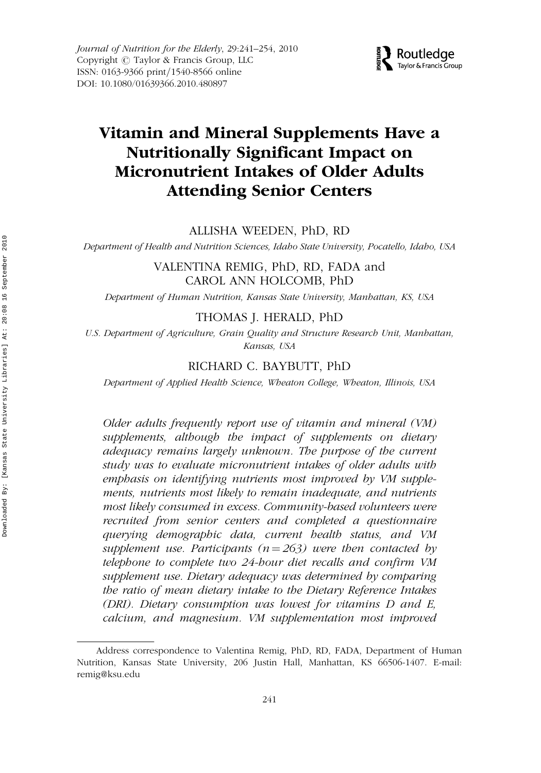

# Vitamin and Mineral Supplements Have a Nutritionally Significant Impact on Micronutrient Intakes of Older Adults Attending Senior Centers

ALLISHA WEEDEN, PhD, RD

Department of Health and Nutrition Sciences, Idaho State University, Pocatello, Idaho, USA

VALENTINA REMIG, PhD, RD, FADA and CAROL ANN HOLCOMB, PhD

Department of Human Nutrition, Kansas State University, Manhattan, KS, USA

# THOMAS J. HERALD, PhD

U.S. Department of Agriculture, Grain Quality and Structure Research Unit, Manhattan, Kansas, USA

# RICHARD C. BAYBUTT, PhD

Department of Applied Health Science, Wheaton College, Wheaton, Illinois, USA

Older adults frequently report use of vitamin and mineral (VM) supplements, although the impact of supplements on dietary adequacy remains largely unknown. The purpose of the current study was to evaluate micronutrient intakes of older adults with emphasis on identifying nutrients most improved by VM supplements, nutrients most likely to remain inadequate, and nutrients most likely consumed in excess. Community-based volunteers were recruited from senior centers and completed a questionnaire querying demographic data, current health status, and VM supplement use. Participants ( $n = 263$ ) were then contacted by telephone to complete two 24-hour diet recalls and confirm VM supplement use. Dietary adequacy was determined by comparing the ratio of mean dietary intake to the Dietary Reference Intakes (DRI). Dietary consumption was lowest for vitamins D and E, calcium, and magnesium. VM supplementation most improved

Address correspondence to Valentina Remig, PhD, RD, FADA, Department of Human Nutrition, Kansas State University, 206 Justin Hall, Manhattan, KS 66506-1407. E-mail: remig@ksu.edu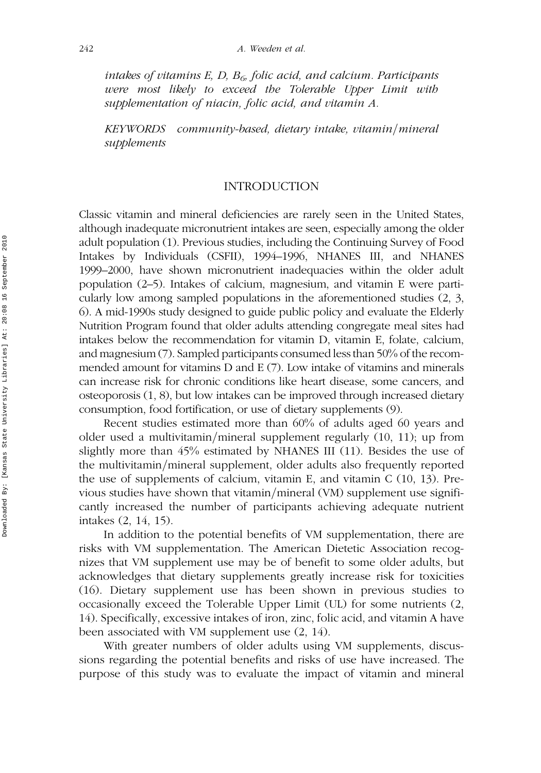intakes of vitamins E, D,  $B<sub>6</sub>$ , folic acid, and calcium. Participants were most likely to exceed the Tolerable Upper Limit with supplementation of niacin, folic acid, and vitamin A.

KEYWORDS community-based, dietary intake, vitamin/mineral supplements

# INTRODUCTION

Classic vitamin and mineral deficiencies are rarely seen in the United States, although inadequate micronutrient intakes are seen, especially among the older adult population (1). Previous studies, including the Continuing Survey of Food Intakes by Individuals (CSFII), 1994–1996, NHANES III, and NHANES 1999–2000, have shown micronutrient inadequacies within the older adult population (2–5). Intakes of calcium, magnesium, and vitamin E were particularly low among sampled populations in the aforementioned studies (2, 3, 6). A mid-1990s study designed to guide public policy and evaluate the Elderly Nutrition Program found that older adults attending congregate meal sites had intakes below the recommendation for vitamin D, vitamin E, folate, calcium, and magnesium (7). Sampled participants consumed less than 50% of the recommended amount for vitamins D and E (7). Low intake of vitamins and minerals can increase risk for chronic conditions like heart disease, some cancers, and osteoporosis (1, 8), but low intakes can be improved through increased dietary consumption, food fortification, or use of dietary supplements (9).

Recent studies estimated more than 60% of adults aged 60 years and older used a multivitamin/mineral supplement regularly  $(10, 11)$ ; up from slightly more than 45% estimated by NHANES III (11). Besides the use of the multivitamin/mineral supplement, older adults also frequently reported the use of supplements of calcium, vitamin E, and vitamin C (10, 13). Previous studies have shown that vitamin/mineral (VM) supplement use significantly increased the number of participants achieving adequate nutrient intakes (2, 14, 15).

In addition to the potential benefits of VM supplementation, there are risks with VM supplementation. The American Dietetic Association recognizes that VM supplement use may be of benefit to some older adults, but acknowledges that dietary supplements greatly increase risk for toxicities (16). Dietary supplement use has been shown in previous studies to occasionally exceed the Tolerable Upper Limit (UL) for some nutrients (2, 14). Specifically, excessive intakes of iron, zinc, folic acid, and vitamin A have been associated with VM supplement use (2, 14).

With greater numbers of older adults using VM supplements, discussions regarding the potential benefits and risks of use have increased. The purpose of this study was to evaluate the impact of vitamin and mineral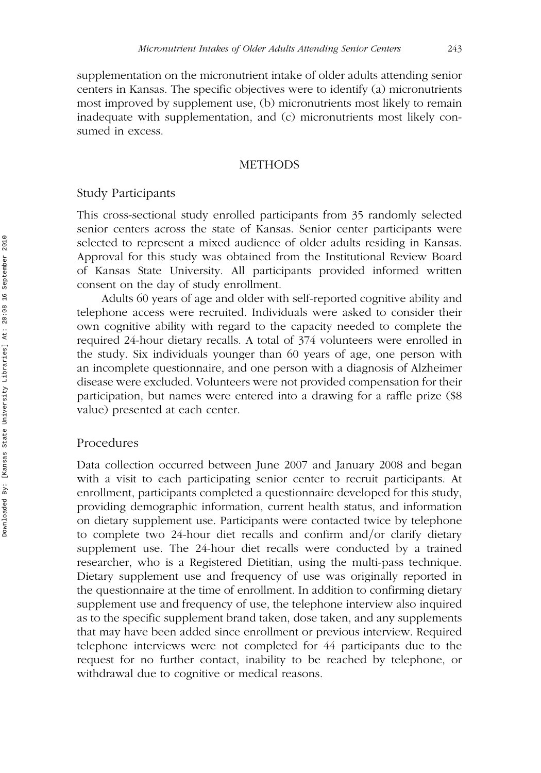supplementation on the micronutrient intake of older adults attending senior centers in Kansas. The specific objectives were to identify (a) micronutrients most improved by supplement use, (b) micronutrients most likely to remain inadequate with supplementation, and (c) micronutrients most likely consumed in excess.

#### **METHODS**

# Study Participants

This cross-sectional study enrolled participants from 35 randomly selected senior centers across the state of Kansas. Senior center participants were selected to represent a mixed audience of older adults residing in Kansas. Approval for this study was obtained from the Institutional Review Board of Kansas State University. All participants provided informed written consent on the day of study enrollment.

Adults 60 years of age and older with self-reported cognitive ability and telephone access were recruited. Individuals were asked to consider their own cognitive ability with regard to the capacity needed to complete the required 24-hour dietary recalls. A total of 374 volunteers were enrolled in the study. Six individuals younger than 60 years of age, one person with an incomplete questionnaire, and one person with a diagnosis of Alzheimer disease were excluded. Volunteers were not provided compensation for their participation, but names were entered into a drawing for a raffle prize (\$8 value) presented at each center.

# Procedures

Data collection occurred between June 2007 and January 2008 and began with a visit to each participating senior center to recruit participants. At enrollment, participants completed a questionnaire developed for this study, providing demographic information, current health status, and information on dietary supplement use. Participants were contacted twice by telephone to complete two  $24$ -hour diet recalls and confirm and/or clarify dietary supplement use. The 24-hour diet recalls were conducted by a trained researcher, who is a Registered Dietitian, using the multi-pass technique. Dietary supplement use and frequency of use was originally reported in the questionnaire at the time of enrollment. In addition to confirming dietary supplement use and frequency of use, the telephone interview also inquired as to the specific supplement brand taken, dose taken, and any supplements that may have been added since enrollment or previous interview. Required telephone interviews were not completed for 44 participants due to the request for no further contact, inability to be reached by telephone, or withdrawal due to cognitive or medical reasons.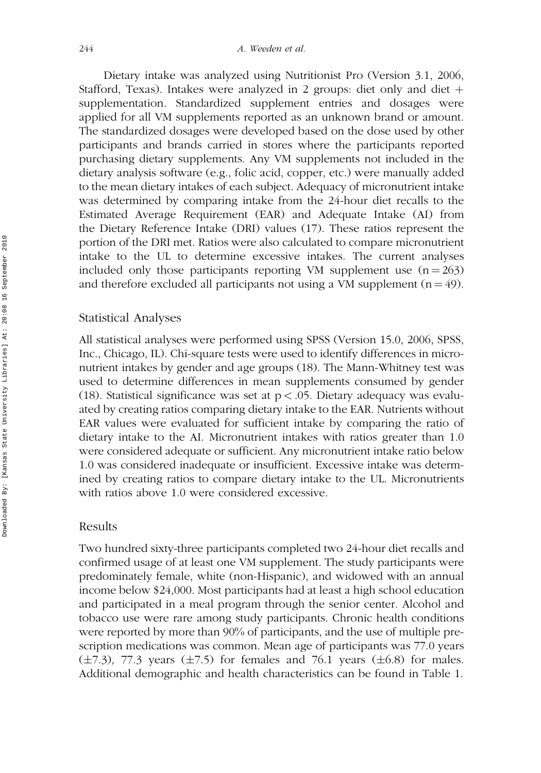Dietary intake was analyzed using Nutritionist Pro (Version 3.1, 2006, Stafford, Texas). Intakes were analyzed in 2 groups: diet only and diet  $+$ supplementation. Standardized supplement entries and dosages were applied for all VM supplements reported as an unknown brand or amount. The standardized dosages were developed based on the dose used by other participants and brands carried in stores where the participants reported purchasing dietary supplements. Any VM supplements not included in the dietary analysis software (e.g., folic acid, copper, etc.) were manually added to the mean dietary intakes of each subject. Adequacy of micronutrient intake was determined by comparing intake from the 24-hour diet recalls to the Estimated Average Requirement (EAR) and Adequate Intake (AI) from the Dietary Reference Intake (DRI) values (17). These ratios represent the portion of the DRI met. Ratios were also calculated to compare micronutrient intake to the UL to determine excessive intakes. The current analyses included only those participants reporting VM supplement use  $(n = 263)$ and therefore excluded all participants not using a VM supplement  $(n = 49)$ .

# Statistical Analyses

All statistical analyses were performed using SPSS (Version 15.0, 2006, SPSS, Inc., Chicago, IL). Chi-square tests were used to identify differences in micronutrient intakes by gender and age groups (18). The Mann-Whitney test was used to determine differences in mean supplements consumed by gender (18). Statistical significance was set at  $p < .05$ . Dietary adequacy was evaluated by creating ratios comparing dietary intake to the EAR. Nutrients without EAR values were evaluated for sufficient intake by comparing the ratio of dietary intake to the AI. Micronutrient intakes with ratios greater than 1.0 were considered adequate or sufficient. Any micronutrient intake ratio below 1.0 was considered inadequate or insufficient. Excessive intake was determined by creating ratios to compare dietary intake to the UL. Micronutrients with ratios above 1.0 were considered excessive.

#### Results

Two hundred sixty-three participants completed two 24-hour diet recalls and confirmed usage of at least one VM supplement. The study participants were predominately female, white (non-Hispanic), and widowed with an annual income below \$24,000. Most participants had at least a high school education and participated in a meal program through the senior center. Alcohol and tobacco use were rare among study participants. Chronic health conditions were reported by more than 90% of participants, and the use of multiple prescription medications was common. Mean age of participants was 77.0 years  $(\pm 7.3)$ , 77.3 years  $(\pm 7.5)$  for females and 76.1 years  $(\pm 6.8)$  for males. Additional demographic and health characteristics can be found in Table 1.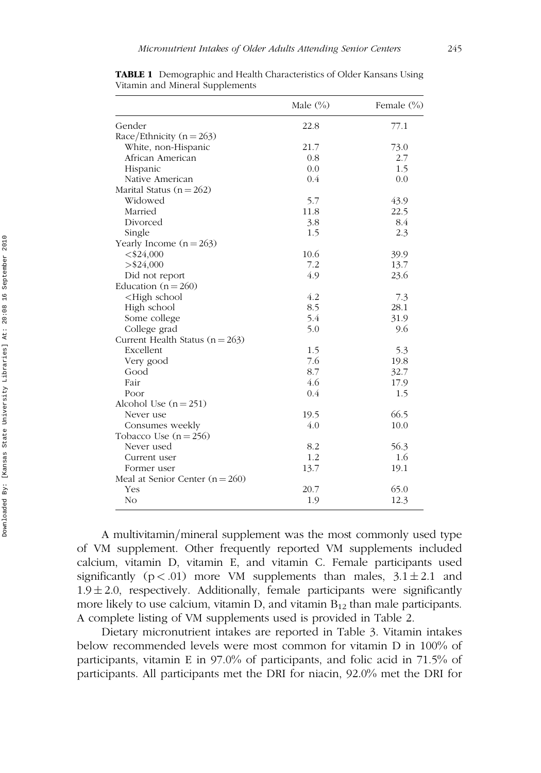|                                                        | Male $(\%)$ | Female (%) |
|--------------------------------------------------------|-------------|------------|
| Gender                                                 | 22.8        | 77.1       |
| Race/Ethnicity $(n = 263)$                             |             |            |
| White, non-Hispanic                                    | 21.7        | 73.0       |
| African American                                       | 0.8         | 2.7        |
| Hispanic                                               | 0.0         | 1.5        |
| Native American                                        | 0.4         | 0.0        |
| Marital Status ( $n = 262$ )                           |             |            |
| Widowed                                                | 5.7         | 43.9       |
| Married                                                | 11.8        | 22.5       |
| Divorced                                               | 3.8         | 8.4        |
| Single                                                 | 1.5         | 2.3        |
| Yearly Income $(n = 263)$                              |             |            |
| $<$ \$24,000                                           | 10.6        | 39.9       |
| $>$ \$24,000                                           | 7.2         | 13.7       |
| Did not report                                         | 4.9         | 23.6       |
| Education ( $n = 260$ )                                |             |            |
| <high school<="" td=""><td>4.2</td><td>7.3</td></high> | 4.2         | 7.3        |
| High school                                            | 8.5         | 28.1       |
| Some college                                           | 5.4         | 31.9       |
| College grad                                           | 5.0         | 9.6        |
| Current Health Status $(n = 263)$                      |             |            |
| Excellent                                              | 1.5         | 5.3        |
| Very good                                              | 7.6         | 19.8       |
| Good                                                   | 8.7         | 32.7       |
| Fair                                                   | 4.6         | 17.9       |
| Poor                                                   | 0.4         | 1.5        |
| Alcohol Use $(n = 251)$                                |             |            |
| Never use                                              | 19.5        | 66.5       |
| Consumes weekly                                        | 4.0         | 10.0       |
| Tobacco Use $(n = 256)$                                |             |            |
| Never used                                             | 8.2         | 56.3       |
| Current user                                           | 1.2         | 1.6        |
| Former user                                            | 13.7        | 19.1       |
| Meal at Senior Center $(n = 260)$                      |             |            |
| Yes                                                    | 20.7        | 65.0       |
| N <sub>O</sub>                                         | 1.9         | 12.3       |

TABLE 1 Demographic and Health Characteristics of Older Kansans Using Vitamin and Mineral Supplements

A multivitamin/mineral supplement was the most commonly used type of VM supplement. Other frequently reported VM supplements included calcium, vitamin D, vitamin E, and vitamin C. Female participants used significantly ( $p < .01$ ) more VM supplements than males,  $3.1 \pm 2.1$  and  $1.9 \pm 2.0$ , respectively. Additionally, female participants were significantly more likely to use calcium, vitamin D, and vitamin  $B_{12}$  than male participants. A complete listing of VM supplements used is provided in Table 2.

Dietary micronutrient intakes are reported in Table 3. Vitamin intakes below recommended levels were most common for vitamin D in 100% of participants, vitamin E in 97.0% of participants, and folic acid in 71.5% of participants. All participants met the DRI for niacin, 92.0% met the DRI for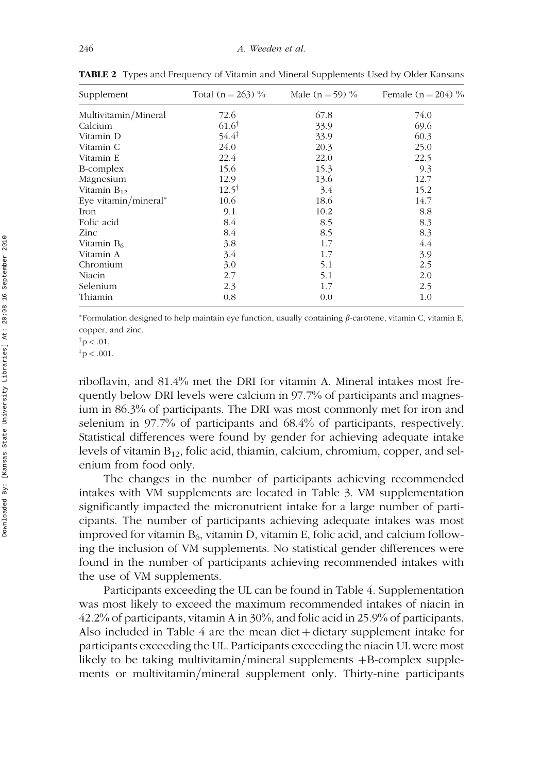| Supplement           | Total $(n = 263)$ % | Male ( $n = 59$ ) % | Female $(n = 204)$ % |
|----------------------|---------------------|---------------------|----------------------|
| Multivitamin/Mineral | 72.6                | 67.8                | 74.0                 |
| Calcium              | $61.6^{\dagger}$    | 33.9                | 69.6                 |
| Vitamin D            | $54.4^{\ddagger}$   | 33.9                | 60.3                 |
| Vitamin C            | 24.0                | 20.3                | 25.0                 |
| Vitamin E            | 22.4                | 22.0                | 22.5                 |
| B-complex            | 15.6                | 15.3                | 9.3                  |
| Magnesium            | 12.9                | 13.6                | 12.7                 |
| Vitamin $B_{12}$     | $12.5^{\dagger}$    | 3.4                 | 15.2                 |
| Eye vitamin/mineral* | 10.6                | 18.6                | 14.7                 |
| Iron                 | 9.1                 | 10.2                | 8.8                  |
| Folic acid           | 8.4                 | 8.5                 | 8.3                  |
| Zinc                 | 8.4                 | 8.5                 | 8.3                  |
| Vitamin $B_6$        | 3.8                 | 1.7                 | 4.4                  |
| Vitamin A            | 3.4                 | 1.7                 | 3.9                  |
| Chromium             | 3.0                 | 5.1                 | 2.5                  |
| Niacin               | 2.7                 | 5.1                 | 2.0                  |
| Selenium             | 2.3                 | 1.7                 | 2.5                  |
| Thiamin              | 0.8                 | 0.0                 | 1.0                  |

TABLE 2 Types and Frequency of Vitamin and Mineral Supplements Used by Older Kansans

\*Formulation designed to help maintain eye function, usually containing  $\beta$ -carotene, vitamin C, vitamin E, copper, and zinc.

riboflavin, and 81.4% met the DRI for vitamin A. Mineral intakes most frequently below DRI levels were calcium in 97.7% of participants and magnesium in 86.3% of participants. The DRI was most commonly met for iron and selenium in 97.7% of participants and 68.4% of participants, respectively. Statistical differences were found by gender for achieving adequate intake levels of vitamin  $B_{12}$ , folic acid, thiamin, calcium, chromium, copper, and selenium from food only.

The changes in the number of participants achieving recommended intakes with VM supplements are located in Table 3. VM supplementation significantly impacted the micronutrient intake for a large number of participants. The number of participants achieving adequate intakes was most improved for vitamin  $B_6$ , vitamin D, vitamin E, folic acid, and calcium following the inclusion of VM supplements. No statistical gender differences were found in the number of participants achieving recommended intakes with the use of VM supplements.

Participants exceeding the UL can be found in Table 4. Supplementation was most likely to exceed the maximum recommended intakes of niacin in 42.2% of participants, vitamin A in 30%, and folic acid in 25.9% of participants. Also included in Table  $4$  are the mean diet  $+$  dietary supplement intake for participants exceeding the UL. Participants exceeding the niacin UL were most likely to be taking multivitamin/mineral supplements  $+B$ -complex supplements or multivitamin/mineral supplement only. Thirty-nine participants

 $\dagger p < .01$ .

 $\rm\ddot{p} < .001$ .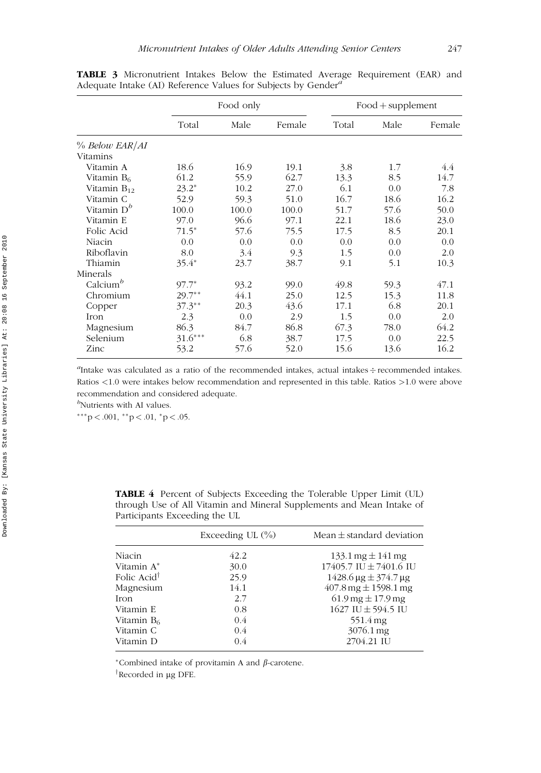|                        | Food only |       |        | $Food + supplement$ |      |        |
|------------------------|-----------|-------|--------|---------------------|------|--------|
|                        | Total     | Male  | Female | Total               | Male | Female |
| % Below EAR/AI         |           |       |        |                     |      |        |
| Vitamins               |           |       |        |                     |      |        |
| Vitamin A              | 18.6      | 16.9  | 19.1   | 3.8                 | 1.7  | 4.4    |
| Vitamin B6             | 61.2      | 55.9  | 62.7   | 13.3                | 8.5  | 14.7   |
| Vitamin $B_{12}$       | $23.2*$   | 10.2  | 27.0   | 6.1                 | 0.0  | 7.8    |
| Vitamin C              | 52.9      | 59.3  | 51.0   | 16.7                | 18.6 | 16.2   |
| Vitamin D <sup>b</sup> | 100.0     | 100.0 | 100.0  | 51.7                | 57.6 | 50.0   |
| Vitamin E              | 97.0      | 96.6  | 97.1   | 22.1                | 18.6 | 23.0   |
| Folic Acid             | $71.5*$   | 57.6  | 75.5   | 17.5                | 8.5  | 20.1   |
| Niacin                 | 0.0       | 0.0   | 0.0    | 0.0                 | 0.0  | 0.0    |
| Riboflavin             | 8.0       | 3.4   | 9.3    | 1.5                 | 0.0  | 2.0    |
| Thiamin                | $35.4*$   | 23.7  | 38.7   | 9.1                 | 5.1  | 10.3   |
| Minerals               |           |       |        |                     |      |        |
| Calcium <sup>b</sup>   | $97.7*$   | 93.2  | 99.0   | 49.8                | 59.3 | 47.1   |
| Chromium               | $29.7**$  | 44.1  | 25.0   | 12.5                | 15.3 | 11.8   |
| Copper                 | $37.3**$  | 20.3  | 43.6   | 17.1                | 6.8  | 20.1   |
| Iron                   | 2.3       | 0.0   | 2.9    | 1.5                 | 0.0  | 2.0    |
| Magnesium              | 86.3      | 84.7  | 86.8   | 67.3                | 78.0 | 64.2   |
| Selenium               | $31.6***$ | 6.8   | 38.7   | 17.5                | 0.0  | 22.5   |
| Zinc                   | 53.2      | 57.6  | 52.0   | 15.6                | 13.6 | 16.2   |

TABLE 3 Micronutrient Intakes Below the Estimated Average Requirement (EAR) and Adequate Intake (AI) Reference Values for Subjects by Gender<sup>a</sup>

<sup>a</sup>Intake was calculated as a ratio of the recommended intakes, actual intakes ÷ recommended intakes. Ratios <1.0 were intakes below recommendation and represented in this table. Ratios >1.0 were above recommendation and considered adequate.

<sup>b</sup>Nutrients with AI values.

 $***p < .001, **p < .01, *p < .05.$ 

TABLE 4 Percent of Subjects Exceeding the Tolerable Upper Limit (UL) through Use of All Vitamin and Mineral Supplements and Mean Intake of Participants Exceeding the UL

|                         | Exceeding UL $(\%)$ | Mean $\pm$ standard deviation                  |
|-------------------------|---------------------|------------------------------------------------|
| Niacin                  | 42.2                | $133.1 \,\mathrm{mg} \pm 141 \,\mathrm{mg}$    |
| Vitamin A <sup>*</sup>  | 30.0                | 17405.7 IU ± 7401.6 IU                         |
| Folic Acid <sup>†</sup> | 25.9                | $1428.6 \,\mu g \pm 374.7 \,\mu g$             |
| Magnesium               | 14.1                | $407.8 \,\mathrm{mg} \pm 1598.1 \,\mathrm{mg}$ |
| Iron                    | 2.7                 | $61.9 \,\mathrm{mg} \pm 17.9 \,\mathrm{mg}$    |
| Vitamin E               | 0.8                 | 1627 IU $\pm$ 594.5 IU                         |
| Vitamin $B_6$           | 0.4                 | 551.4 mg                                       |
| Vitamin C               | 0.4                 | 3076.1 mg                                      |
| Vitamin D               | 0.4                 | 2704.21 IU                                     |

\*Combined intake of provitamin A and  $\beta$ -carotene.

<sup>†</sup>Recorded in µg DFE.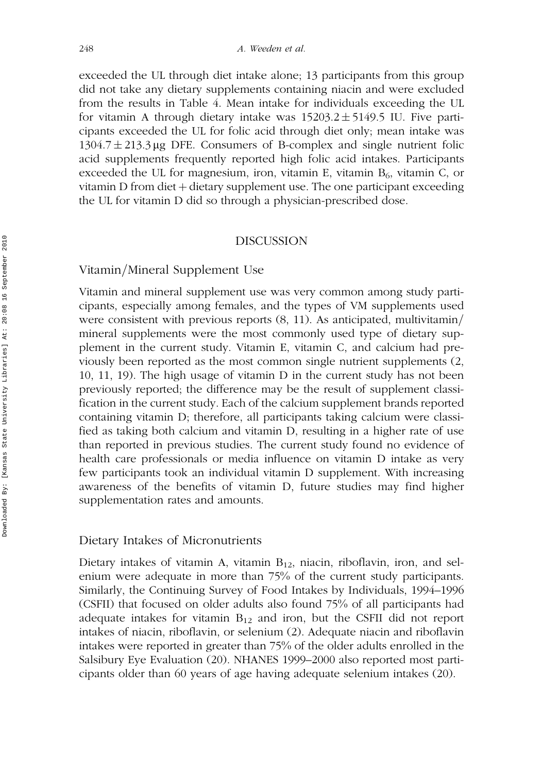exceeded the UL through diet intake alone; 13 participants from this group did not take any dietary supplements containing niacin and were excluded from the results in Table 4. Mean intake for individuals exceeding the UL for vitamin A through dietary intake was  $15203.2 \pm 5149.5$  IU. Five participants exceeded the UL for folic acid through diet only; mean intake was  $1304.7 \pm 213.3 \,\mu$ g DFE. Consumers of B-complex and single nutrient folic acid supplements frequently reported high folic acid intakes. Participants exceeded the UL for magnesium, iron, vitamin E, vitamin  $B_6$ , vitamin C, or vitamin D from diet  $+$  dietary supplement use. The one participant exceeding the UL for vitamin D did so through a physician-prescribed dose.

#### **DISCUSSION**

# Vitamin/Mineral Supplement Use

Vitamin and mineral supplement use was very common among study participants, especially among females, and the types of VM supplements used were consistent with previous reports  $(8, 11)$ . As anticipated, multivitamin/ mineral supplements were the most commonly used type of dietary supplement in the current study. Vitamin E, vitamin C, and calcium had previously been reported as the most common single nutrient supplements (2, 10, 11, 19). The high usage of vitamin D in the current study has not been previously reported; the difference may be the result of supplement classification in the current study. Each of the calcium supplement brands reported containing vitamin D; therefore, all participants taking calcium were classified as taking both calcium and vitamin D, resulting in a higher rate of use than reported in previous studies. The current study found no evidence of health care professionals or media influence on vitamin D intake as very few participants took an individual vitamin D supplement. With increasing awareness of the benefits of vitamin D, future studies may find higher supplementation rates and amounts.

# Dietary Intakes of Micronutrients

Dietary intakes of vitamin A, vitamin  $B_{12}$ , niacin, riboflavin, iron, and selenium were adequate in more than 75% of the current study participants. Similarly, the Continuing Survey of Food Intakes by Individuals, 1994–1996 (CSFII) that focused on older adults also found 75% of all participants had adequate intakes for vitamin  $B_{12}$  and iron, but the CSFII did not report intakes of niacin, riboflavin, or selenium (2). Adequate niacin and riboflavin intakes were reported in greater than 75% of the older adults enrolled in the Salsibury Eye Evaluation (20). NHANES 1999–2000 also reported most participants older than 60 years of age having adequate selenium intakes (20).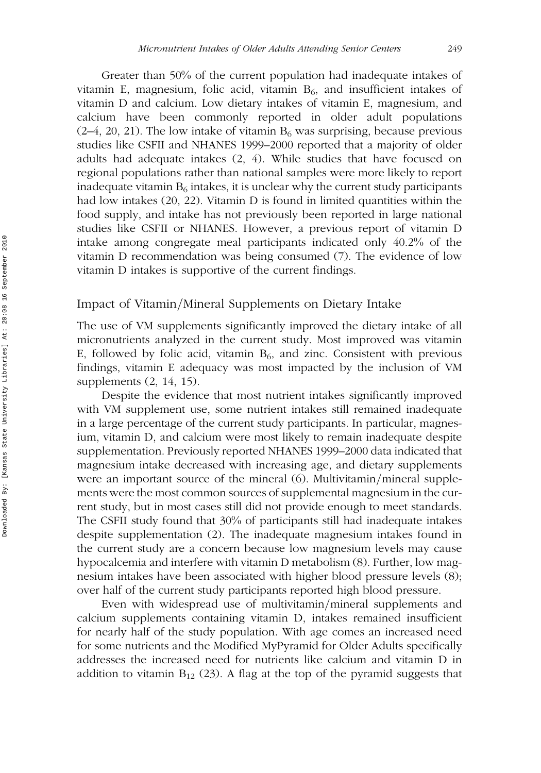Greater than 50% of the current population had inadequate intakes of vitamin E, magnesium, folic acid, vitamin  $B_6$ , and insufficient intakes of vitamin D and calcium. Low dietary intakes of vitamin E, magnesium, and calcium have been commonly reported in older adult populations  $(2-4, 20, 21)$ . The low intake of vitamin B<sub>6</sub> was surprising, because previous studies like CSFII and NHANES 1999–2000 reported that a majority of older adults had adequate intakes (2, 4). While studies that have focused on regional populations rather than national samples were more likely to report inadequate vitamin  $B_6$  intakes, it is unclear why the current study participants had low intakes (20, 22). Vitamin D is found in limited quantities within the food supply, and intake has not previously been reported in large national studies like CSFII or NHANES. However, a previous report of vitamin D intake among congregate meal participants indicated only 40.2% of the vitamin D recommendation was being consumed (7). The evidence of low vitamin D intakes is supportive of the current findings.

# Impact of Vitamin/Mineral Supplements on Dietary Intake

The use of VM supplements significantly improved the dietary intake of all micronutrients analyzed in the current study. Most improved was vitamin E, followed by folic acid, vitamin  $B_6$ , and zinc. Consistent with previous findings, vitamin E adequacy was most impacted by the inclusion of VM supplements (2, 14, 15).

Despite the evidence that most nutrient intakes significantly improved with VM supplement use, some nutrient intakes still remained inadequate in a large percentage of the current study participants. In particular, magnesium, vitamin D, and calcium were most likely to remain inadequate despite supplementation. Previously reported NHANES 1999–2000 data indicated that magnesium intake decreased with increasing age, and dietary supplements were an important source of the mineral  $(6)$ . Multivitamin/mineral supplements were the most common sources of supplemental magnesium in the current study, but in most cases still did not provide enough to meet standards. The CSFII study found that 30% of participants still had inadequate intakes despite supplementation (2). The inadequate magnesium intakes found in the current study are a concern because low magnesium levels may cause hypocalcemia and interfere with vitamin D metabolism (8). Further, low magnesium intakes have been associated with higher blood pressure levels (8); over half of the current study participants reported high blood pressure.

Even with widespread use of multivitamin/mineral supplements and calcium supplements containing vitamin D, intakes remained insufficient for nearly half of the study population. With age comes an increased need for some nutrients and the Modified MyPyramid for Older Adults specifically addresses the increased need for nutrients like calcium and vitamin D in addition to vitamin  $B_{12}$  (23). A flag at the top of the pyramid suggests that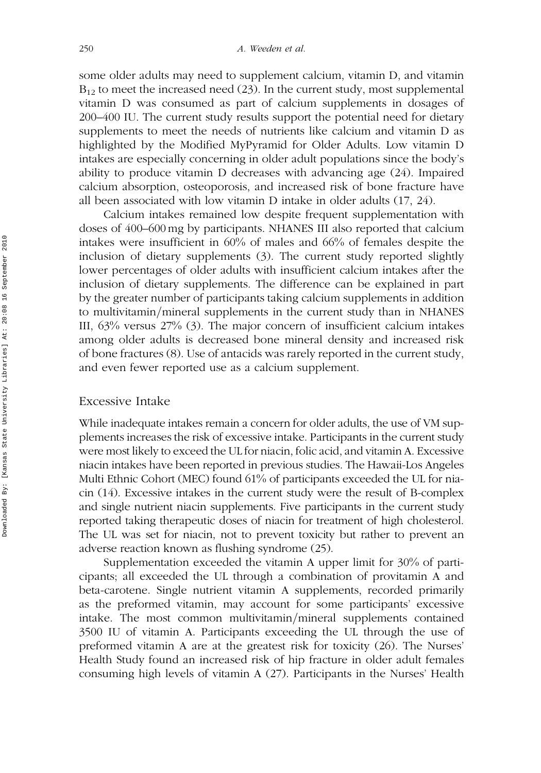some older adults may need to supplement calcium, vitamin D, and vitamin  $B_{12}$  to meet the increased need (23). In the current study, most supplemental vitamin D was consumed as part of calcium supplements in dosages of 200–400 IU. The current study results support the potential need for dietary supplements to meet the needs of nutrients like calcium and vitamin D as highlighted by the Modified MyPyramid for Older Adults. Low vitamin D intakes are especially concerning in older adult populations since the body's ability to produce vitamin D decreases with advancing age (24). Impaired calcium absorption, osteoporosis, and increased risk of bone fracture have all been associated with low vitamin D intake in older adults (17, 24).

Calcium intakes remained low despite frequent supplementation with doses of 400–600 mg by participants. NHANES III also reported that calcium intakes were insufficient in 60% of males and 66% of females despite the inclusion of dietary supplements (3). The current study reported slightly lower percentages of older adults with insufficient calcium intakes after the inclusion of dietary supplements. The difference can be explained in part by the greater number of participants taking calcium supplements in addition to multivitamin/mineral supplements in the current study than in NHANES III, 63% versus 27% (3). The major concern of insufficient calcium intakes among older adults is decreased bone mineral density and increased risk of bone fractures (8). Use of antacids was rarely reported in the current study, and even fewer reported use as a calcium supplement.

# Excessive Intake

While inadequate intakes remain a concern for older adults, the use of VM supplements increases the risk of excessive intake. Participants in the current study were most likely to exceed the UL for niacin, folic acid, and vitamin A. Excessive niacin intakes have been reported in previous studies. The Hawaii-Los Angeles Multi Ethnic Cohort (MEC) found 61% of participants exceeded the UL for niacin (14). Excessive intakes in the current study were the result of B-complex and single nutrient niacin supplements. Five participants in the current study reported taking therapeutic doses of niacin for treatment of high cholesterol. The UL was set for niacin, not to prevent toxicity but rather to prevent an adverse reaction known as flushing syndrome (25).

Supplementation exceeded the vitamin A upper limit for 30% of participants; all exceeded the UL through a combination of provitamin A and beta-carotene. Single nutrient vitamin A supplements, recorded primarily as the preformed vitamin, may account for some participants' excessive intake. The most common multivitamin/mineral supplements contained 3500 IU of vitamin A. Participants exceeding the UL through the use of preformed vitamin A are at the greatest risk for toxicity (26). The Nurses' Health Study found an increased risk of hip fracture in older adult females consuming high levels of vitamin A (27). Participants in the Nurses' Health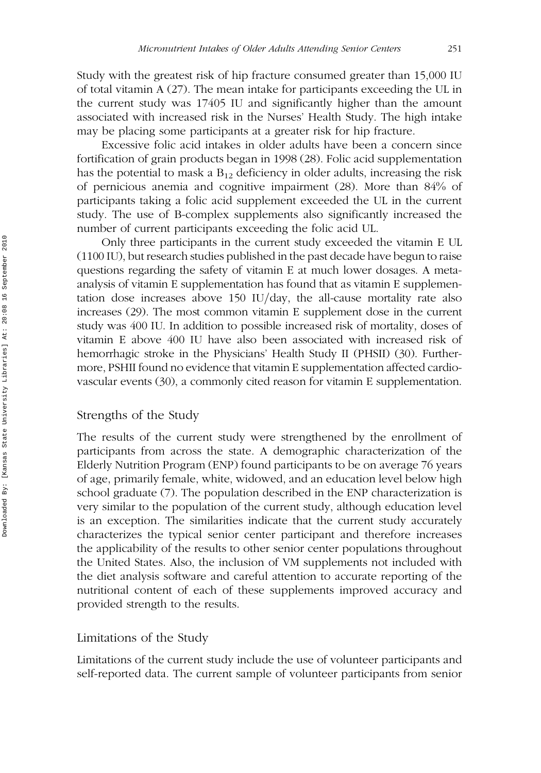Study with the greatest risk of hip fracture consumed greater than 15,000 IU of total vitamin A (27). The mean intake for participants exceeding the UL in the current study was 17405 IU and significantly higher than the amount associated with increased risk in the Nurses' Health Study. The high intake may be placing some participants at a greater risk for hip fracture.

Excessive folic acid intakes in older adults have been a concern since fortification of grain products began in 1998 (28). Folic acid supplementation has the potential to mask a  $B_{12}$  deficiency in older adults, increasing the risk of pernicious anemia and cognitive impairment (28). More than 84% of participants taking a folic acid supplement exceeded the UL in the current study. The use of B-complex supplements also significantly increased the number of current participants exceeding the folic acid UL.

Only three participants in the current study exceeded the vitamin E UL (1100 IU), but research studies published in the past decade have begun to raise questions regarding the safety of vitamin E at much lower dosages. A metaanalysis of vitamin E supplementation has found that as vitamin E supplementation dose increases above  $150$  IU/day, the all-cause mortality rate also increases (29). The most common vitamin E supplement dose in the current study was 400 IU. In addition to possible increased risk of mortality, doses of vitamin E above 400 IU have also been associated with increased risk of hemorrhagic stroke in the Physicians' Health Study II (PHSII) (30). Furthermore, PSHII found no evidence that vitamin E supplementation affected cardiovascular events (30), a commonly cited reason for vitamin E supplementation.

# Strengths of the Study

The results of the current study were strengthened by the enrollment of participants from across the state. A demographic characterization of the Elderly Nutrition Program (ENP) found participants to be on average 76 years of age, primarily female, white, widowed, and an education level below high school graduate (7). The population described in the ENP characterization is very similar to the population of the current study, although education level is an exception. The similarities indicate that the current study accurately characterizes the typical senior center participant and therefore increases the applicability of the results to other senior center populations throughout the United States. Also, the inclusion of VM supplements not included with the diet analysis software and careful attention to accurate reporting of the nutritional content of each of these supplements improved accuracy and provided strength to the results.

# Limitations of the Study

Limitations of the current study include the use of volunteer participants and self-reported data. The current sample of volunteer participants from senior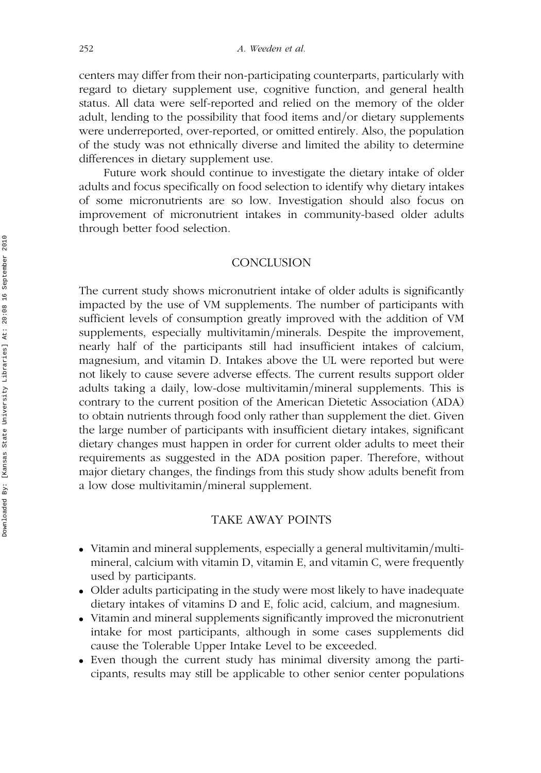centers may differ from their non-participating counterparts, particularly with regard to dietary supplement use, cognitive function, and general health status. All data were self-reported and relied on the memory of the older adult, lending to the possibility that food items and/or dietary supplements were underreported, over-reported, or omitted entirely. Also, the population of the study was not ethnically diverse and limited the ability to determine differences in dietary supplement use.

Future work should continue to investigate the dietary intake of older adults and focus specifically on food selection to identify why dietary intakes of some micronutrients are so low. Investigation should also focus on improvement of micronutrient intakes in community-based older adults through better food selection.

# **CONCLUSION**

The current study shows micronutrient intake of older adults is significantly impacted by the use of VM supplements. The number of participants with sufficient levels of consumption greatly improved with the addition of VM supplements, especially multivitamin/minerals. Despite the improvement, nearly half of the participants still had insufficient intakes of calcium, magnesium, and vitamin D. Intakes above the UL were reported but were not likely to cause severe adverse effects. The current results support older adults taking a daily, low-dose multivitamin/mineral supplements. This is contrary to the current position of the American Dietetic Association (ADA) to obtain nutrients through food only rather than supplement the diet. Given the large number of participants with insufficient dietary intakes, significant dietary changes must happen in order for current older adults to meet their requirements as suggested in the ADA position paper. Therefore, without major dietary changes, the findings from this study show adults benefit from a low dose multivitamin/mineral supplement.

# TAKE AWAY POINTS

- Vitamin and mineral supplements, especially a general multivitamin/multimineral, calcium with vitamin D, vitamin E, and vitamin C, were frequently used by participants.
- . Older adults participating in the study were most likely to have inadequate dietary intakes of vitamins D and E, folic acid, calcium, and magnesium.
- . Vitamin and mineral supplements significantly improved the micronutrient intake for most participants, although in some cases supplements did cause the Tolerable Upper Intake Level to be exceeded.
- . Even though the current study has minimal diversity among the participants, results may still be applicable to other senior center populations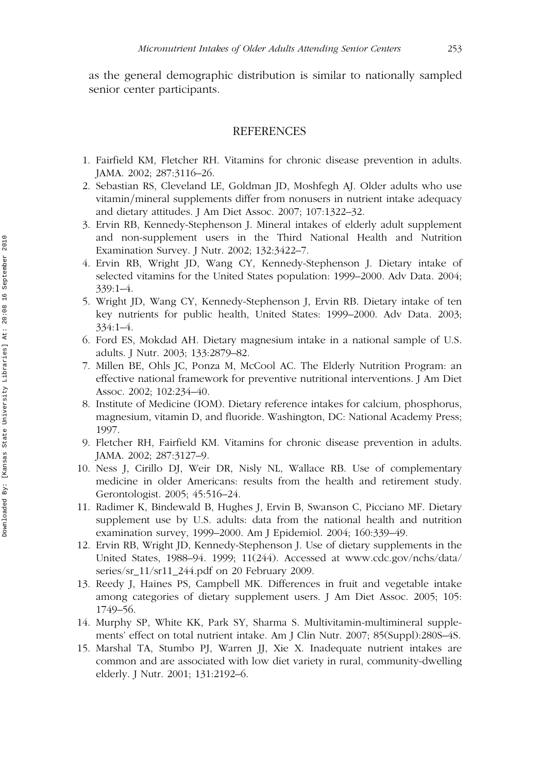as the general demographic distribution is similar to nationally sampled senior center participants.

#### REFERENCES

- 1. Fairfield KM, Fletcher RH. Vitamins for chronic disease prevention in adults. JAMA. 2002; 287:3116–26.
- 2. Sebastian RS, Cleveland LE, Goldman JD, Moshfegh AJ. Older adults who use vitamin/mineral supplements differ from nonusers in nutrient intake adequacy and dietary attitudes. J Am Diet Assoc. 2007; 107:1322–32.
- 3. Ervin RB, Kennedy-Stephenson J. Mineral intakes of elderly adult supplement and non-supplement users in the Third National Health and Nutrition Examination Survey. J Nutr. 2002; 132:3422–7.
- 4. Ervin RB, Wright JD, Wang CY, Kennedy-Stephenson J. Dietary intake of selected vitamins for the United States population: 1999–2000. Adv Data. 2004; 339:1–4.
- 5. Wright JD, Wang CY, Kennedy-Stephenson J, Ervin RB. Dietary intake of ten key nutrients for public health, United States: 1999–2000. Adv Data. 2003; 334:1–4.
- 6. Ford ES, Mokdad AH. Dietary magnesium intake in a national sample of U.S. adults. J Nutr. 2003; 133:2879–82.
- 7. Millen BE, Ohls JC, Ponza M, McCool AC. The Elderly Nutrition Program: an effective national framework for preventive nutritional interventions. J Am Diet Assoc. 2002; 102:234–40.
- 8. Institute of Medicine (IOM). Dietary reference intakes for calcium, phosphorus, magnesium, vitamin D, and fluoride. Washington, DC: National Academy Press; 1997.
- 9. Fletcher RH, Fairfield KM. Vitamins for chronic disease prevention in adults. JAMA. 2002; 287:3127–9.
- 10. Ness J, Cirillo DJ, Weir DR, Nisly NL, Wallace RB. Use of complementary medicine in older Americans: results from the health and retirement study. Gerontologist. 2005; 45:516–24.
- 11. Radimer K, Bindewald B, Hughes J, Ervin B, Swanson C, Picciano MF. Dietary supplement use by U.S. adults: data from the national health and nutrition examination survey, 1999–2000. Am J Epidemiol. 2004; 160:339–49.
- 12. Ervin RB, Wright JD, Kennedy-Stephenson J. Use of dietary supplements in the United States, 1988–94. 1999; 11(244). Accessed at www.cdc.gov/nchs/data/ series/sr\_11/sr11\_244.pdf on 20 February 2009.
- 13. Reedy J, Haines PS, Campbell MK. Differences in fruit and vegetable intake among categories of dietary supplement users. J Am Diet Assoc. 2005; 105: 1749–56.
- 14. Murphy SP, White KK, Park SY, Sharma S. Multivitamin-multimineral supplements' effect on total nutrient intake. Am J Clin Nutr. 2007; 85(Suppl):280S–4S.
- 15. Marshal TA, Stumbo PJ, Warren JJ, Xie X. Inadequate nutrient intakes are common and are associated with low diet variety in rural, community-dwelling elderly. J Nutr. 2001; 131:2192–6.